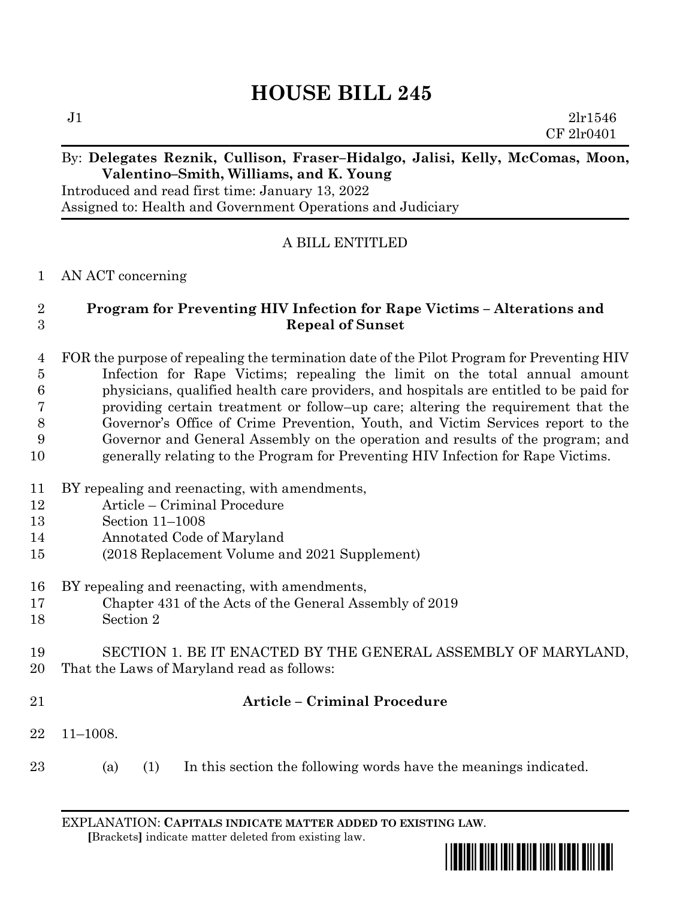# **HOUSE BILL 245**

 $J1$   $2lr1546$ CF 2lr0401

## By: **Delegates Reznik, Cullison, Fraser–Hidalgo, Jalisi, Kelly, McComas, Moon, Valentino–Smith, Williams, and K. Young**

Introduced and read first time: January 13, 2022 Assigned to: Health and Government Operations and Judiciary

# A BILL ENTITLED

### AN ACT concerning

# **Program for Preventing HIV Infection for Rape Victims – Alterations and Repeal of Sunset**

 FOR the purpose of repealing the termination date of the Pilot Program for Preventing HIV Infection for Rape Victims; repealing the limit on the total annual amount physicians, qualified health care providers, and hospitals are entitled to be paid for providing certain treatment or follow–up care; altering the requirement that the Governor's Office of Crime Prevention, Youth, and Victim Services report to the Governor and General Assembly on the operation and results of the program; and generally relating to the Program for Preventing HIV Infection for Rape Victims.

- BY repealing and reenacting, with amendments,
- Article Criminal Procedure
- Section 11–1008
- Annotated Code of Maryland
- (2018 Replacement Volume and 2021 Supplement)
- BY repealing and reenacting, with amendments,
- Chapter 431 of the Acts of the General Assembly of 2019
- Section 2

### SECTION 1. BE IT ENACTED BY THE GENERAL ASSEMBLY OF MARYLAND, That the Laws of Maryland read as follows:

# **Article – Criminal Procedure**

- 11–1008.
- (a) (1) In this section the following words have the meanings indicated.

EXPLANATION: **CAPITALS INDICATE MATTER ADDED TO EXISTING LAW**.  **[**Brackets**]** indicate matter deleted from existing law.

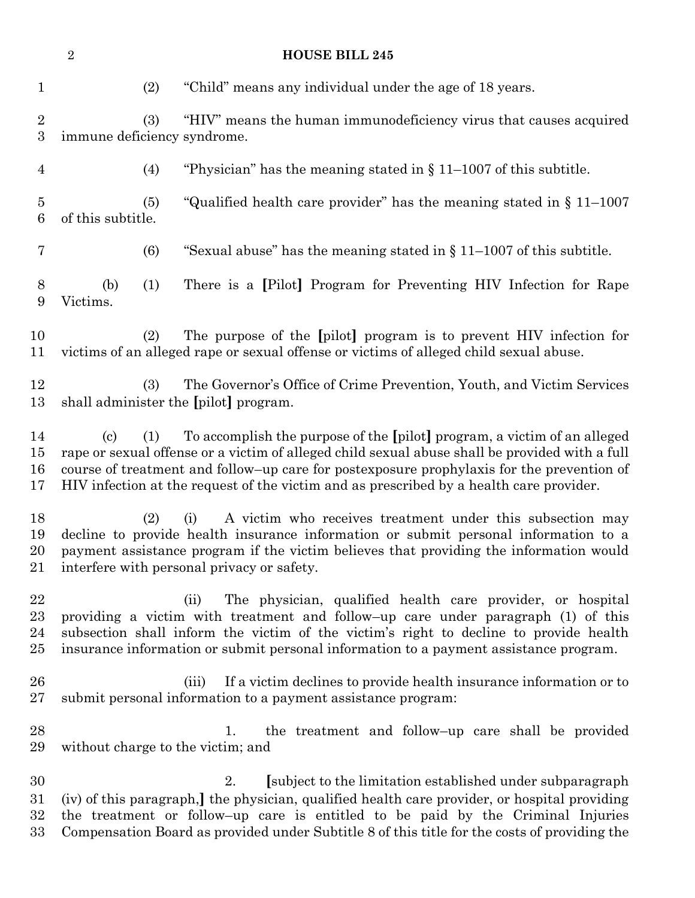| $\overline{2}$<br><b>HOUSE BILL 245</b> |                                                                                                                                                                                                                                                                                                                                                                                                         |                                                                                                                                                                                                                                                                                                                                                      |
|-----------------------------------------|---------------------------------------------------------------------------------------------------------------------------------------------------------------------------------------------------------------------------------------------------------------------------------------------------------------------------------------------------------------------------------------------------------|------------------------------------------------------------------------------------------------------------------------------------------------------------------------------------------------------------------------------------------------------------------------------------------------------------------------------------------------------|
| $\mathbf{1}$                            | (2)                                                                                                                                                                                                                                                                                                                                                                                                     | "Child" means any individual under the age of 18 years.                                                                                                                                                                                                                                                                                              |
| $\sqrt{2}$<br>$\boldsymbol{3}$          | (3)<br>immune deficiency syndrome.                                                                                                                                                                                                                                                                                                                                                                      | "HIV" means the human immunodeficiency virus that causes acquired                                                                                                                                                                                                                                                                                    |
| $\overline{4}$                          | (4)                                                                                                                                                                                                                                                                                                                                                                                                     | "Physician" has the meaning stated in $\S 11-1007$ of this subtitle.                                                                                                                                                                                                                                                                                 |
| $\bf 5$<br>6                            | (5)<br>of this subtitle.                                                                                                                                                                                                                                                                                                                                                                                | "Qualified health care provider" has the meaning stated in $\S 11-1007$                                                                                                                                                                                                                                                                              |
| 7                                       | (6)                                                                                                                                                                                                                                                                                                                                                                                                     | "Sexual abuse" has the meaning stated in $\S 11-1007$ of this subtitle.                                                                                                                                                                                                                                                                              |
| 8<br>9                                  | (b)<br>(1)<br>Victims.                                                                                                                                                                                                                                                                                                                                                                                  | There is a [Pilot] Program for Preventing HIV Infection for Rape                                                                                                                                                                                                                                                                                     |
| 10<br>11                                | (2)                                                                                                                                                                                                                                                                                                                                                                                                     | The purpose of the [pilot] program is to prevent HIV infection for<br>victims of an alleged rape or sexual offense or victims of alleged child sexual abuse.                                                                                                                                                                                         |
| 12<br>13                                | (3)                                                                                                                                                                                                                                                                                                                                                                                                     | The Governor's Office of Crime Prevention, Youth, and Victim Services<br>shall administer the [pilot] program.                                                                                                                                                                                                                                       |
| 14<br>15<br>16<br>17                    | To accomplish the purpose of the [pilot] program, a victim of an alleged<br>$\left( \mathrm{c}\right)$<br>(1)<br>rape or sexual offense or a victim of alleged child sexual abuse shall be provided with a full<br>course of treatment and follow-up care for postexposure prophylaxis for the prevention of<br>HIV infection at the request of the victim and as prescribed by a health care provider. |                                                                                                                                                                                                                                                                                                                                                      |
| 18<br>19<br>20<br>21                    | A victim who receives treatment under this subsection may<br>(2)<br>(i)<br>decline to provide health insurance information or submit personal information to a<br>payment assistance program if the victim believes that providing the information would<br>interfere with personal privacy or safety.                                                                                                  |                                                                                                                                                                                                                                                                                                                                                      |
| 22<br>23<br>24<br>25                    |                                                                                                                                                                                                                                                                                                                                                                                                         | The physician, qualified health care provider, or hospital<br>(ii)<br>providing a victim with treatment and follow-up care under paragraph (1) of this<br>subsection shall inform the victim of the victim's right to decline to provide health<br>insurance information or submit personal information to a payment assistance program.             |
| 26<br>$27\,$                            |                                                                                                                                                                                                                                                                                                                                                                                                         | If a victim declines to provide health insurance information or to<br>(iii)<br>submit personal information to a payment assistance program:                                                                                                                                                                                                          |
| 28<br>29                                | without charge to the victim; and                                                                                                                                                                                                                                                                                                                                                                       | the treatment and follow-up care shall be provided<br>1.                                                                                                                                                                                                                                                                                             |
| 30<br>$31\,$<br>$32\,$<br>33            |                                                                                                                                                                                                                                                                                                                                                                                                         | [subject to the limitation established under subparagraph]<br>2.<br>(iv) of this paragraph,] the physician, qualified health care provider, or hospital providing<br>the treatment or follow-up care is entitled to be paid by the Criminal Injuries<br>Compensation Board as provided under Subtitle 8 of this title for the costs of providing the |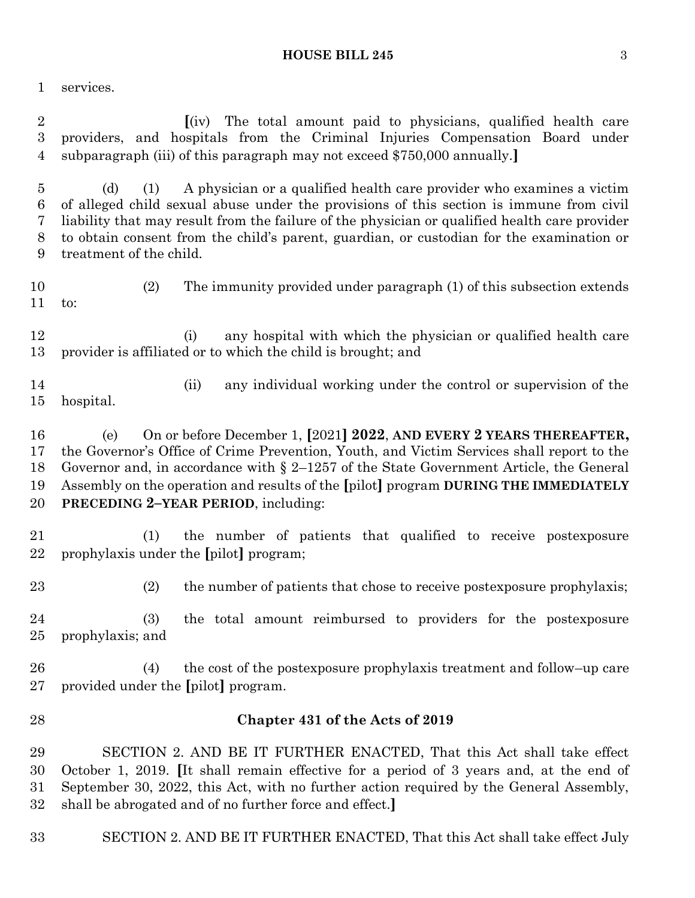#### **HOUSE BILL 245** 3

services.

 **[**(iv) The total amount paid to physicians, qualified health care providers, and hospitals from the Criminal Injuries Compensation Board under subparagraph (iii) of this paragraph may not exceed \$750,000 annually.**]**

 (d) (1) A physician or a qualified health care provider who examines a victim of alleged child sexual abuse under the provisions of this section is immune from civil liability that may result from the failure of the physician or qualified health care provider to obtain consent from the child's parent, guardian, or custodian for the examination or treatment of the child.

 (2) The immunity provided under paragraph (1) of this subsection extends to:

 (i) any hospital with which the physician or qualified health care provider is affiliated or to which the child is brought; and

 (ii) any individual working under the control or supervision of the hospital.

 (e) On or before December 1, **[**2021**] 2022**, **AND EVERY 2 YEARS THEREAFTER,** the Governor's Office of Crime Prevention, Youth, and Victim Services shall report to the Governor and, in accordance with § 2–1257 of the State Government Article, the General Assembly on the operation and results of the **[**pilot**]** program **DURING THE IMMEDIATELY PRECEDING 2–YEAR PERIOD**, including:

 (1) the number of patients that qualified to receive postexposure prophylaxis under the **[**pilot**]** program;

(2) the number of patients that chose to receive postexposure prophylaxis;

 (3) the total amount reimbursed to providers for the postexposure prophylaxis; and

 (4) the cost of the postexposure prophylaxis treatment and follow–up care provided under the **[**pilot**]** program.

### **Chapter 431 of the Acts of 2019**

 SECTION 2. AND BE IT FURTHER ENACTED, That this Act shall take effect October 1, 2019. **[**It shall remain effective for a period of 3 years and, at the end of September 30, 2022, this Act, with no further action required by the General Assembly, shall be abrogated and of no further force and effect.**]**

SECTION 2. AND BE IT FURTHER ENACTED, That this Act shall take effect July